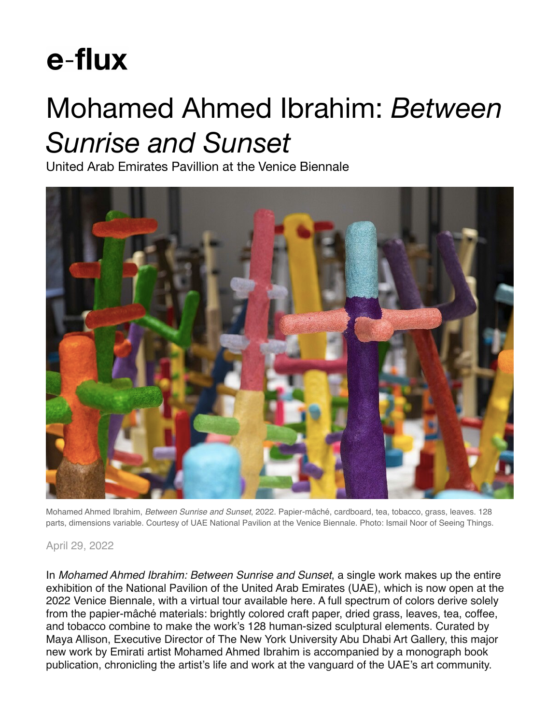## e-flux

## Mohamed Ahmed Ibrahim: *Between Sunrise and Sunset*

United Arab Emirates Pavillion at the Venice Biennale



Mohamed Ahmed Ibrahim, *Between Sunrise and Sunset*, 2022. Papier-mâché, cardboard, tea, tobacco, grass, leaves. 128 parts, dimensions variable. Courtesy of UAE National Pavilion at the Venice Biennale. Photo: Ismail Noor of Seeing Things.

## April 29, 2022

In *Mohamed Ahmed Ibrahim: Between Sunrise and Sunset*, a single work makes up the entire exhibition of the National Pavilion of the United Arab Emirates (UAE), which is now open at the 2022 Venice Biennale, with a virtual tour available here. A full spectrum of colors derive solely from the papier-mâché materials: brightly colored craft paper, dried grass, leaves, tea, coffee, and tobacco combine to make the work's 128 human-sized sculptural elements. Curated by Maya Allison, Executive Director of The New York University Abu Dhabi Art Gallery, this major new work by Emirati artist Mohamed Ahmed Ibrahim is accompanied by a monograph book publication, chronicling the artist's life and work at the vanguard of the UAE's art community.